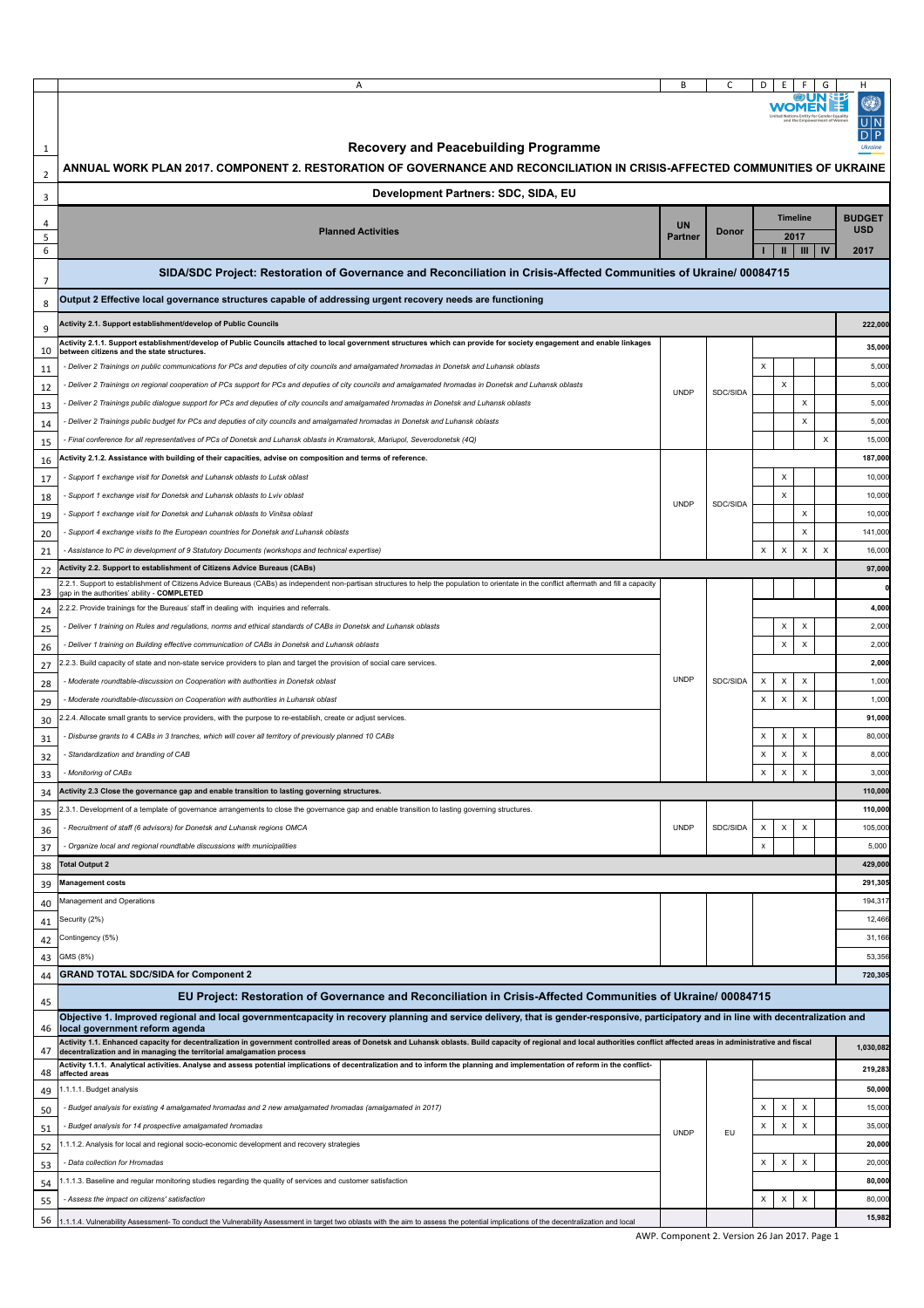|                     | Α                                                                                                                                                                                                                                                                                                      | B              | C                                             | D                                                      |                           |    | н<br>۹<br>UlÑ<br>DIP |
|---------------------|--------------------------------------------------------------------------------------------------------------------------------------------------------------------------------------------------------------------------------------------------------------------------------------------------------|----------------|-----------------------------------------------|--------------------------------------------------------|---------------------------|----|----------------------|
| 1                   | <b>Recovery and Peacebuilding Programme</b><br>ANNUAL WORK PLAN 2017. COMPONENT 2. RESTORATION OF GOVERNANCE AND RECONCILIATION IN CRISIS-AFFECTED COMMUNITIES OF UKRAINE                                                                                                                              |                |                                               |                                                        |                           |    |                      |
| $\overline{2}$<br>3 | Development Partners: SDC, SIDA, EU                                                                                                                                                                                                                                                                    |                |                                               |                                                        |                           |    |                      |
| 4                   |                                                                                                                                                                                                                                                                                                        | <b>UN</b>      |                                               |                                                        | <b>Timeline</b>           |    | <b>BUDGET</b>        |
| 5<br>6              | <b>Planned Activities</b>                                                                                                                                                                                                                                                                              | <b>Partner</b> | Donor                                         | $\mathbf{u}$                                           | 2017<br>III               | IV | <b>USD</b><br>2017   |
|                     | SIDA/SDC Project: Restoration of Governance and Reconciliation in Crisis-Affected Communities of Ukraine/ 00084715                                                                                                                                                                                     |                |                                               |                                                        |                           |    |                      |
| $\overline{7}$<br>8 | Output 2 Effective local governance structures capable of addressing urgent recovery needs are functioning                                                                                                                                                                                             |                |                                               |                                                        |                           |    |                      |
| 9                   | Activity 2.1. Support establishment/develop of Public Councils                                                                                                                                                                                                                                         |                |                                               |                                                        |                           |    | 222,000              |
|                     | Activity 2.1.1. Support establishment/develop of Public Councils attached to local government structures which can provide for society engagement and enable linkages                                                                                                                                  |                |                                               |                                                        |                           |    | 35,000               |
| 10                  | between citizens and the state structures.                                                                                                                                                                                                                                                             |                |                                               | $\pmb{\times}$                                         |                           |    | 5,000                |
| 11                  | Deliver 2 Trainings on public communications for PCs and deputies of city councils and amalgamated hromadas in Donetsk and Luhansk oblasts<br>Deliver 2 Trainings on regional cooperation of PCs support for PCs and deputies of city councils and amalgamated hromadas in Donetsk and Luhansk oblasts |                |                                               | $\boldsymbol{\mathsf{x}}$                              |                           |    | 5,000                |
| 12                  | Deliver 2 Trainings public dialogue support for PCs and deputies of city councils and amalgamated hromadas in Donetsk and Luhansk oblasts                                                                                                                                                              | <b>UNDP</b>    | SDC/SIDA                                      |                                                        | $\mathsf{x}$              |    | 5,000                |
| 13                  | Deliver 2 Trainings public budget for PCs and deputies of city councils and amalgamated hromadas in Donetsk and Luhansk oblasts                                                                                                                                                                        |                |                                               |                                                        | $\pmb{\times}$            |    | 5,000                |
| 14                  |                                                                                                                                                                                                                                                                                                        |                |                                               |                                                        |                           | X  | 15,000               |
| 15                  | Final conference for all representatives of PCs of Donetsk and Luhansk oblasts in Kramatorsk, Mariupol, Severodonetsk (4Q)<br>Activity 2.1.2. Assistance with building of their capacities, advise on composition and terms of reference.                                                              |                |                                               |                                                        |                           |    | 187,000              |
| 16                  |                                                                                                                                                                                                                                                                                                        |                |                                               | X                                                      |                           |    |                      |
| 17                  | Support 1 exchange visit for Donetsk and Luhansk oblasts to Lutsk oblast                                                                                                                                                                                                                               |                |                                               |                                                        |                           |    | 10,000               |
| 18                  | Support 1 exchange visit for Donetsk and Luhansk oblasts to Lviv oblast                                                                                                                                                                                                                                | <b>UNDP</b>    | SDC/SIDA                                      | $\boldsymbol{\mathsf{x}}$                              |                           |    | 10,000               |
| 19                  | Support 1 exchange visit for Donetsk and Luhansk oblasts to Vinitsa oblast                                                                                                                                                                                                                             |                |                                               |                                                        | $\boldsymbol{\mathsf{X}}$ |    | 10,000               |
| 20                  | - Support 4 exchange visits to the European countries for Donetsk and Luhansk oblasts                                                                                                                                                                                                                  |                |                                               |                                                        | X                         |    | 141,000              |
| 21                  | Assistance to PC in development of 9 Statutory Documents (workshops and technical expertise) -                                                                                                                                                                                                         |                |                                               | $\pmb{\times}$<br>$\pmb{\times}$                       | $\boldsymbol{\mathsf{X}}$ | X  | 16,000               |
| 22                  | <b>Activity 2.2. Support to establishment of Citizens Advice Bureaus (CABs)</b><br>2.2.1. Support to establishment of Citizens Advice Bureaus (CABs) as independent non-partisan structures to help the population to orientate in the conflict aftermath and fill a capacity                          |                |                                               |                                                        |                           |    | 97,000               |
| 23                  | gap in the authorities' ability - COMPLETED                                                                                                                                                                                                                                                            |                |                                               |                                                        |                           |    |                      |
| 24                  | .2.2. Provide trainings for the Bureaus' staff in dealing with inquiries and referrals.                                                                                                                                                                                                                |                |                                               |                                                        |                           |    | 4,000                |
| 25                  | - Deliver 1 training on Rules and regulations, norms and ethical standards of CABs in Donetsk and Luhansk oblasts                                                                                                                                                                                      |                |                                               | х                                                      | X                         |    | 2,000                |
| 26                  | Deliver 1 training on Building effective communication of CABs in Donetsk and Luhansk oblasts                                                                                                                                                                                                          |                |                                               | $\mathsf X$                                            | $\mathsf X$               |    | 2,000                |
| 27                  | .2.3. Build capacity of state and non-state service providers to plan and target the provision of social care services.                                                                                                                                                                                |                |                                               |                                                        |                           |    | 2,000                |
| 28                  | Moderate roundtable-discussion on Cooperation with authorities in Donetsk oblast                                                                                                                                                                                                                       | <b>UNDP</b>    | SDC/SIDA                                      | $\boldsymbol{\mathsf{X}}$<br>$\boldsymbol{\mathsf{x}}$ | $\boldsymbol{\mathsf{X}}$ |    | 1,000                |
| 29                  | - Moderate roundtable-discussion on Cooperation with authorities in Luhansk oblast                                                                                                                                                                                                                     |                |                                               | $\boldsymbol{\mathsf{X}}$<br>$\pmb{\times}$            | $\pmb{\times}$            |    | 1,000                |
| 30                  | .2.4. Allocate small grants to service providers, with the purpose to re-establish, create or adjust services.                                                                                                                                                                                         |                |                                               |                                                        |                           |    | 91,000               |
| 31                  | Disburse grants to 4 CABs in 3 tranches, which will cover all territory of previously planned 10 CABs                                                                                                                                                                                                  |                |                                               | $\times$<br>X                                          | X                         |    | 80,000               |
| 32                  | Standardization and branding of CAB                                                                                                                                                                                                                                                                    |                |                                               | $\pmb{\times}$<br>X                                    | $\boldsymbol{\mathsf{X}}$ |    | 8,00                 |
| 33                  | - Monitoring of CABs                                                                                                                                                                                                                                                                                   |                |                                               | X                                                      | $\times$<br>X             |    | 3,000                |
| 34                  | Activity 2.3 Close the governance gap and enable transition to lasting governing structures.                                                                                                                                                                                                           |                |                                               |                                                        |                           |    | 110,000              |
| 35                  | 2.3.1. Development of a template of governance arrangements to close the governance gap and enable transition to lasting governing structures.                                                                                                                                                         |                |                                               |                                                        |                           |    | 110,000              |
| 36                  | - Recruitment of staff (6 advisors) for Donetsk and Luhansk regions OMCA                                                                                                                                                                                                                               | <b>UNDP</b>    | SDC/SIDA                                      | $\mathsf X$<br>$\mathsf X$                             | $\boldsymbol{\mathsf{X}}$ |    | 105,000              |
| 37                  | - Organize local and regional roundtable discussions with municipalities                                                                                                                                                                                                                               |                |                                               | $\pmb{\times}$                                         |                           |    | 5,000                |
| 38                  | <b>Total Output 2</b>                                                                                                                                                                                                                                                                                  |                |                                               |                                                        |                           |    | 429,000              |
| 39                  | <b>Management costs</b>                                                                                                                                                                                                                                                                                |                |                                               |                                                        |                           |    | 291,305              |
| 40                  | Management and Operations                                                                                                                                                                                                                                                                              |                |                                               |                                                        |                           |    | 194,317              |
| 41                  | Security (2%)                                                                                                                                                                                                                                                                                          |                |                                               |                                                        |                           |    | 12,466               |
| 42                  | Contingency (5%)                                                                                                                                                                                                                                                                                       |                |                                               |                                                        |                           |    | 31,166               |
| 43                  | GMS (8%)                                                                                                                                                                                                                                                                                               |                |                                               |                                                        |                           |    | 53,356               |
| 44                  | <b>GRAND TOTAL SDC/SIDA for Component 2</b>                                                                                                                                                                                                                                                            |                |                                               |                                                        |                           |    | 720,305              |
| 45                  | EU Project: Restoration of Governance and Reconciliation in Crisis-Affected Communities of Ukraine/ 00084715                                                                                                                                                                                           |                |                                               |                                                        |                           |    |                      |
| 46                  | Objective 1. Improved regional and local governmentcapacity in recovery planning and service delivery, that is gender-responsive, participatory and in line with decentralization and<br>local government reform agenda                                                                                |                |                                               |                                                        |                           |    |                      |
| 47                  | Activity 1.1. Enhanced capacity for decentralization in government controlled areas of Donetsk and Luhansk oblasts. Build capacity of regional and local authorities conflict affected areas in administrative and fiscal<br>decentralization and in managing the territorial amalgamation process     |                |                                               |                                                        |                           |    | 1,030,082            |
| 48                  | Activity 1.1.1. Analytical activities. Analyse and assess potential implications of decentralization and to inform the planning and implementation of reform in the conflict-<br>affected areas                                                                                                        |                |                                               |                                                        |                           |    | 219,283              |
| 49                  | 1.1.1.1. Budget analysis                                                                                                                                                                                                                                                                               |                |                                               |                                                        |                           |    | 50,000               |
| 50                  | - Budget analysis for existing 4 amalgamated hromadas and 2 new amalgamated hromadas (amalgamated in 2017)                                                                                                                                                                                             |                |                                               | $\boldsymbol{\mathsf{X}}$<br>$\pmb{\times}$            | X                         |    | 15,000               |
| 51                  | Budget analysis for 14 prospective amalgamated hromadas                                                                                                                                                                                                                                                |                |                                               | $\boldsymbol{\mathsf{X}}$<br>$\mathsf{x}$              | $\boldsymbol{\mathsf{x}}$ |    | 35,000               |
| 52                  | .1.1.2. Analysis for local and regional socio-economic development and recovery strategies                                                                                                                                                                                                             | <b>UNDP</b>    | EU                                            |                                                        |                           |    | 20,000               |
| 53                  | - Data collection for Hromadas                                                                                                                                                                                                                                                                         |                |                                               | $\pmb{\times}$<br>$\boldsymbol{\mathsf{x}}$            | $\boldsymbol{\mathsf{X}}$ |    | 20,000               |
| 54                  | 1.1.1.3. Baseline and regular monitoring studies regarding the quality of services and customer satisfaction                                                                                                                                                                                           |                |                                               |                                                        |                           |    | 80,000               |
| 55                  | - Assess the impact on citizens' satisfaction                                                                                                                                                                                                                                                          |                |                                               | X<br>X                                                 | $\pmb{\times}$            |    | 80,000               |
| 56                  | .1.1.4. Vulnerability Assessment- To conduct the Vulnerability Assessment in target two oblasts with the aim to assess the potential implications of the decentralization and local                                                                                                                    |                |                                               |                                                        |                           |    | 15,982               |
|                     |                                                                                                                                                                                                                                                                                                        |                | AWP. Component 2. Version 26 Jan 2017. Page 1 |                                                        |                           |    |                      |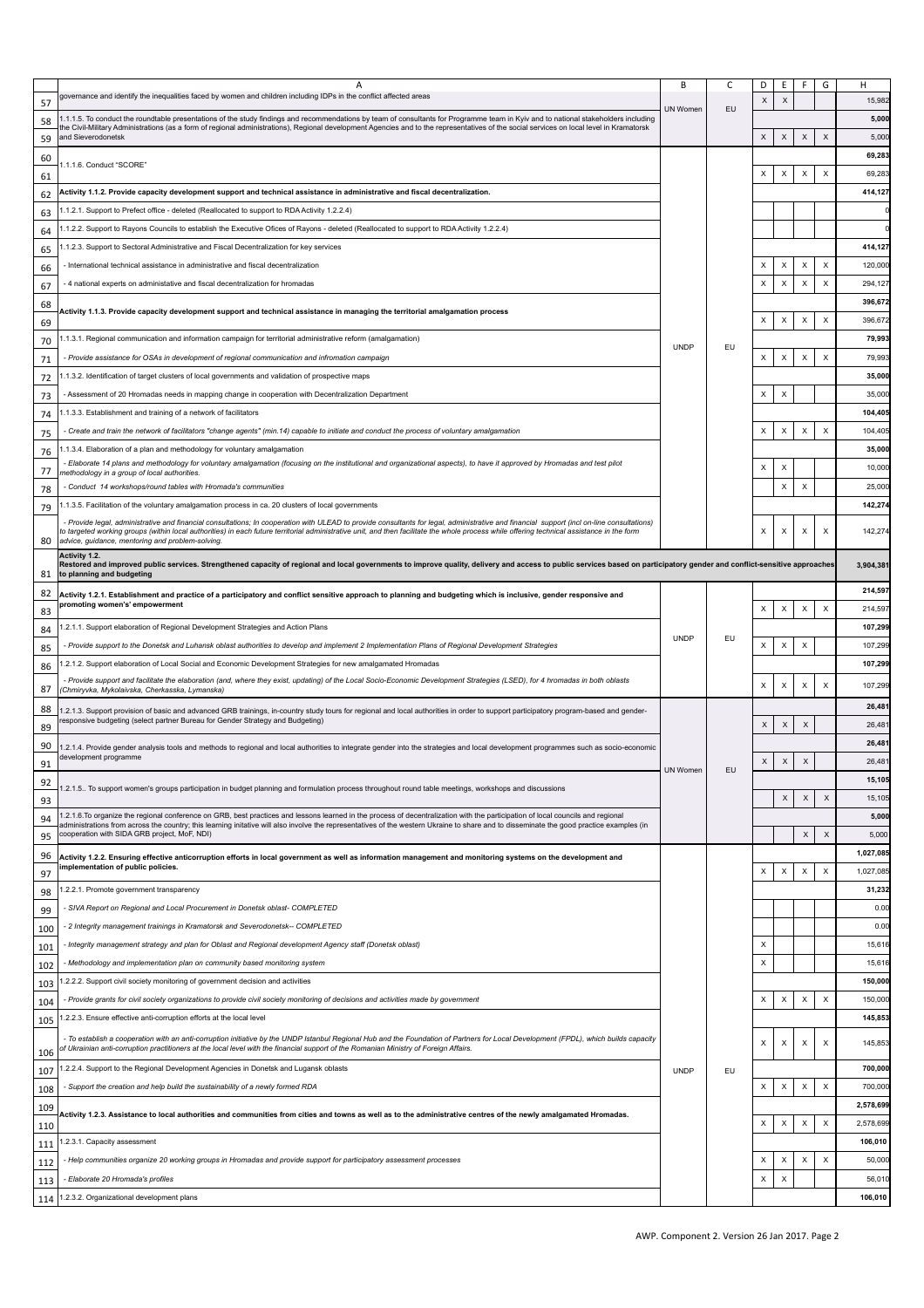|            | Α                                                                                                                                                                                                                                                                                                                                                                             | В           | С  | D                         | Е                         | F<br>G                         | H         |
|------------|-------------------------------------------------------------------------------------------------------------------------------------------------------------------------------------------------------------------------------------------------------------------------------------------------------------------------------------------------------------------------------|-------------|----|---------------------------|---------------------------|--------------------------------|-----------|
|            | governance and identify the inequalities faced by women and children including IDPs in the conflict affected areas                                                                                                                                                                                                                                                            |             |    | X                         | $\times$                  |                                | 15,982    |
| 57         |                                                                                                                                                                                                                                                                                                                                                                               | UN Women    | EU |                           |                           |                                |           |
| 58         | .1.1.5. To conduct the roundtable presentations of the study findings and recommendations by team of consultants for Programme team in Kyiv and to national stakeholders including<br>he Civil-Military Administrations (as a form of regional administrations), Regional development Agencies and to the representatives of the social services on local level in Kramatorsk |             |    |                           |                           |                                | 5,000     |
| 59         | and Sieverodonetsk                                                                                                                                                                                                                                                                                                                                                            |             |    | X                         | X                         | X<br>X                         | 5,000     |
| 60         |                                                                                                                                                                                                                                                                                                                                                                               |             |    |                           |                           |                                | 69,283    |
| 61         | 1.1.1.6. Conduct "SCORE"                                                                                                                                                                                                                                                                                                                                                      |             |    | X                         | X                         | $\mathsf X$<br>X               | 69,283    |
|            |                                                                                                                                                                                                                                                                                                                                                                               |             |    |                           |                           |                                |           |
| 62         | Activity 1.1.2. Provide capacity development support and technical assistance in administrative and fiscal decentralization.                                                                                                                                                                                                                                                  |             |    |                           |                           |                                | 414,127   |
| 63         | .1.2.1. Support to Prefect office - deleted (Reallocated to support to RDA Activity 1.2.2.4)                                                                                                                                                                                                                                                                                  |             |    |                           |                           |                                |           |
| 64         | .1.2.2. Support to Rayons Councils to establish the Executive Ofices of Rayons - deleted (Reallocated to support to RDA Activity 1.2.2.4)                                                                                                                                                                                                                                     |             |    |                           |                           |                                |           |
| 65         | .1.2.3. Support to Sectoral Administrative and Fiscal Decentralization for key services                                                                                                                                                                                                                                                                                       |             |    |                           |                           |                                | 414,127   |
|            | - International technical assistance in administrative and fiscal decentralization                                                                                                                                                                                                                                                                                            |             |    | $\times$                  | X                         | X<br>X                         | 120,000   |
| 66         |                                                                                                                                                                                                                                                                                                                                                                               |             |    |                           |                           |                                |           |
| 67         | - 4 national experts on administative and fiscal decentralization for hromadas                                                                                                                                                                                                                                                                                                |             |    | X                         | х                         | X<br>$\boldsymbol{\mathsf{X}}$ | 294,127   |
| 68         | Activity 1.1.3. Provide capacity development support and technical assistance in managing the territorial amalgamation process                                                                                                                                                                                                                                                |             |    |                           |                           |                                | 396,672   |
| 69         |                                                                                                                                                                                                                                                                                                                                                                               |             |    | X                         | X                         | X<br>X                         | 396,67    |
| 70         | .1.3.1. Regional communication and information campaign for territorial administrative reform (amalgamation)                                                                                                                                                                                                                                                                  |             |    |                           |                           |                                | 79,993    |
|            | - Provide assistance for OSAs in development of regional communication and infromation campaign                                                                                                                                                                                                                                                                               | <b>UNDP</b> | EU | X                         | X                         | $\mathsf X$<br>X               | 79,993    |
| 71         |                                                                                                                                                                                                                                                                                                                                                                               |             |    |                           |                           |                                |           |
| 72         | .1.3.2. Identification of target clusters of local governments and validation of prospective maps                                                                                                                                                                                                                                                                             |             |    |                           |                           |                                | 35,000    |
| 73         | - Assessment of 20 Hromadas needs in mapping change in cooperation with Decentralization Department                                                                                                                                                                                                                                                                           |             |    | X                         | X                         |                                | 35,000    |
| 74         | .1.3.3. Establishment and training of a network of facilitators                                                                                                                                                                                                                                                                                                               |             |    |                           |                           |                                | 104,405   |
| 75         | Create and train the network of facilitators "change agents" (min.14) capable to initiate and conduct the process of voluntary amalgamation                                                                                                                                                                                                                                   |             |    | X                         | X                         | X<br>х                         | 104,405   |
|            | .1.3.4. Elaboration of a plan and methodology for voluntary amalgamation                                                                                                                                                                                                                                                                                                      |             |    |                           |                           |                                | 35,000    |
| 76         | - Elaborate 14 plans and methodology for voluntary amalgamation (focusing on the institutional and organizational aspects), to have it approved by Hromadas and test pilot                                                                                                                                                                                                    |             |    |                           |                           |                                |           |
| 77         | nethodology in a group of local authorities.                                                                                                                                                                                                                                                                                                                                  |             |    | $\boldsymbol{\mathsf{x}}$ | X                         |                                | 10,000    |
| 78         | Conduct 14 workshops/round tables with Hromada's communities                                                                                                                                                                                                                                                                                                                  |             |    |                           | X                         | $\boldsymbol{\mathsf{X}}$      | 25,000    |
| 79         | .1.3.5. Facilitation of the voluntary amalgamation process in ca. 20 clusters of local governments                                                                                                                                                                                                                                                                            |             |    |                           |                           |                                | 142,274   |
|            | - Provide legal, administrative and financial consultations; In cooperation with ULEAD to provide consultants for legal, administrative and financial support (incl on-line consultations)                                                                                                                                                                                    |             |    |                           |                           |                                |           |
|            | o targeted working groups (within local authorities) in each future territorial administrative unit, and then facilitate the whole process while offering technical assistance in the form                                                                                                                                                                                    |             |    | X                         | $\boldsymbol{\mathsf{X}}$ | X<br>X                         | 142,274   |
| 80         | advice, guidance, mentoring and problem-solving.                                                                                                                                                                                                                                                                                                                              |             |    |                           |                           |                                |           |
|            | Activity 1.2.<br>Restored and improved public services. Strengthened capacity of regional and local governments to improve quality, delivery and access to public services based on participatory gender and conflict-sensitive approaches                                                                                                                                    |             |    |                           |                           |                                | 3,904,381 |
| 81         | to planning and budgeting                                                                                                                                                                                                                                                                                                                                                     |             |    |                           |                           |                                |           |
| 82         | Activity 1.2.1. Establishment and practice of a participatory and conflict sensitive approach to planning and budgeting which is inclusive, gender responsive and                                                                                                                                                                                                             |             |    |                           |                           |                                | 214,597   |
| 83         | promoting women's' empowerment                                                                                                                                                                                                                                                                                                                                                |             |    | X                         | X                         | $\mathsf X$<br>X               | 214,597   |
| 84         | .2.1.1. Support elaboration of Regional Development Strategies and Action Plans                                                                                                                                                                                                                                                                                               |             |    |                           |                           |                                | 107,299   |
|            | - Provide support to the Donetsk and Luhansk oblast authorities to develop and implement 2 Implementation Plans of Regional Development Strategies                                                                                                                                                                                                                            | <b>UNDP</b> | EU | X                         | X                         | $\boldsymbol{\mathsf{X}}$      | 107,299   |
| 85         |                                                                                                                                                                                                                                                                                                                                                                               |             |    |                           |                           |                                |           |
| 86         | .2.1.2. Support elaboration of Local Social and Economic Development Strategies for new amalgamated Hromadas                                                                                                                                                                                                                                                                  |             |    |                           |                           |                                | 107,299   |
| 87         | Provide support and facilitate the elaboration (and, where they exist, updating) of the Local Socio-Economic Development Strategies (LSED), for 4 hromadas in both oblasts<br>Chmiryvka, Mykolaivska, Cherkasska, Lymanska)                                                                                                                                                   |             |    | X                         | X                         | X<br>X                         | 107,299   |
|            |                                                                                                                                                                                                                                                                                                                                                                               |             |    |                           |                           |                                | 26,481    |
| 88         | .2.1.3. Support provision of basic and advanced GRB trainings, in-country study tours for regional and local authorities in order to support participatory program-based and gender-<br>esponsive budgeting (select partner Bureau for Gender Strategy and Budgeting)                                                                                                         |             |    | X                         |                           |                                |           |
| 89         |                                                                                                                                                                                                                                                                                                                                                                               |             |    |                           | X                         | $\times$                       | 26,481    |
| 90         | .2.1.4. Provide gender analysis tools and methods to regional and local authorities to integrate gender into the strategies and local development programmes such as socio-economic                                                                                                                                                                                           |             |    |                           |                           |                                |           |
|            |                                                                                                                                                                                                                                                                                                                                                                               |             |    |                           |                           |                                | 26,481    |
| 91         | development programme                                                                                                                                                                                                                                                                                                                                                         |             |    | X                         | X                         | $\boldsymbol{\mathsf{x}}$      | 26,481    |
|            |                                                                                                                                                                                                                                                                                                                                                                               | UN Women    | EU |                           |                           |                                | 15,105    |
| 92         | .2.1.5 To support women's groups participation in budget planning and formulation process throughout round table meetings, workshops and discussions                                                                                                                                                                                                                          |             |    |                           |                           |                                |           |
| 93         |                                                                                                                                                                                                                                                                                                                                                                               |             |    |                           | X                         | $\boldsymbol{\mathsf{X}}$<br>X | 15, 105   |
| 94         | .2.1.6. To organize the regional conference on GRB, best practices and lessons learned in the process of decentralization with the participation of local councils and regional<br>administrations from across the country; this learning initative will also involve the representatives of the western Ukraine to share and to disseminate the good practice examples (in   |             |    |                           |                           |                                | 5,000     |
| 95         | cooperation with SIDA GRB project, MoF, NDI)                                                                                                                                                                                                                                                                                                                                  |             |    |                           |                           | X<br>X                         | 5,000     |
| 96         | Activity 1.2.2. Ensuring effective anticorruption efforts in local government as well as information management and monitoring systems on the development and                                                                                                                                                                                                                 |             |    |                           |                           |                                | 1,027,085 |
|            | implementation of public policies.                                                                                                                                                                                                                                                                                                                                            |             |    | $\times$                  | x                         | $\boldsymbol{\mathsf{X}}$<br>X | 1,027,085 |
| 97         |                                                                                                                                                                                                                                                                                                                                                                               |             |    |                           |                           |                                |           |
| 98         | .2.2.1. Promote government transparency                                                                                                                                                                                                                                                                                                                                       |             |    |                           |                           |                                | 31,232    |
| 99         | - SIVA Report on Regional and Local Procurement in Donetsk oblast- COMPLETED                                                                                                                                                                                                                                                                                                  |             |    |                           |                           |                                | 0.00      |
| 100        | - 2 Integrity management trainings in Kramatorsk and Severodonetsk-- COMPLETED                                                                                                                                                                                                                                                                                                |             |    |                           |                           |                                | 0.00      |
| 101        | Integrity management strategy and plan for Oblast and Regional development Agency staff (Donetsk oblast) -                                                                                                                                                                                                                                                                    |             |    | X                         |                           |                                | 15,616    |
|            | Methodology and implementation plan on community based monitoring system                                                                                                                                                                                                                                                                                                      |             |    | $\mathsf X$               |                           |                                | 15,616    |
| 102        |                                                                                                                                                                                                                                                                                                                                                                               |             |    |                           |                           |                                |           |
| 103        | .2.2.2. Support civil society monitoring of government decision and activities                                                                                                                                                                                                                                                                                                |             |    |                           |                           |                                | 150,000   |
| 104        | Provide grants for civil society organizations to provide civil society monitoring of decisions and activities made by government                                                                                                                                                                                                                                             |             |    | $\times$                  | $\boldsymbol{\mathsf{x}}$ | $\mathsf X$<br>X               | 150,000   |
| 105        | .2.2.3. Ensure effective anti-corruption efforts at the local level                                                                                                                                                                                                                                                                                                           |             |    |                           |                           |                                | 145,853   |
|            | To establish a cooperation with an anti-corruption initiative by the UNDP Istanbul Regional Hub and the Foundation of Partners for Local Development (FPDL), which builds capacity                                                                                                                                                                                            |             |    |                           |                           |                                |           |
| 106        | f Ukrainian anti-corruption practitioners at the local level with the financial support of the Romanian Ministry of Foreign Affairs.                                                                                                                                                                                                                                          |             |    | X                         | х                         | X<br>X                         | 145,853   |
| 107        | 1.2.2.4. Support to the Regional Development Agencies in Donetsk and Lugansk oblasts                                                                                                                                                                                                                                                                                          | <b>UNDP</b> | EU |                           |                           |                                | 700,000   |
|            | - Support the creation and help build the sustainability of a newly formed RDA                                                                                                                                                                                                                                                                                                |             |    | X                         | X                         | $\mathsf X$<br>X               | 700,000   |
| 108        |                                                                                                                                                                                                                                                                                                                                                                               |             |    |                           |                           |                                |           |
| 109        | Activity 1.2.3. Assistance to local authorities and communities from cities and towns as well as to the administrative centres of the newly amalgamated Hromadas.                                                                                                                                                                                                             |             |    |                           |                           |                                | 2,578,699 |
| 110        |                                                                                                                                                                                                                                                                                                                                                                               |             |    | X                         | X                         | X<br>X                         | 2,578,699 |
| 111        | .2.3.1. Capacity assessment                                                                                                                                                                                                                                                                                                                                                   |             |    |                           |                           |                                | 106,010   |
| 112        | - Help communities organize 20 working groups in Hromadas and provide support for participatory assessment processes                                                                                                                                                                                                                                                          |             |    | $\times$                  | x                         | X<br>X                         | 50,000    |
|            | - Elaborate 20 Hromada's profiles                                                                                                                                                                                                                                                                                                                                             |             |    | X                         | X                         |                                | 56,010    |
| 113<br>114 | 1.2.3.2. Organizational development plans                                                                                                                                                                                                                                                                                                                                     |             |    |                           |                           |                                | 106,010   |